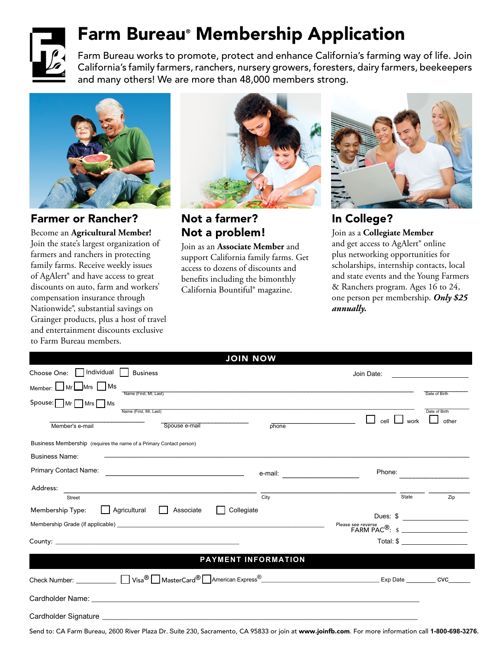

# Farm Bureau® Membership Application

Farm Bureau works to promote, protect and enhance California's farming way of life. Join California's family farmers, ranchers, nursery growers, foresters, dairy farmers, beekeepers and many others! We are more than 48,000 members strong.



Farmer or Rancher?

Become an **Agricultural Member!**  Join the state's largest organization of farmers and ranchers in protecting family farms. Receive weekly issues of AgAlert® and have access to great discounts on auto, farm and workers' compensation insurance through Nationwide®, substantial savings on Grainger products, plus a host of travel and entertainment discounts exclusive to Farm Bureau members.



#### Not a farmer? Not a problem!

Join as an **Associate Member** and support California family farms. Get access to dozens of discounts and benefits including the bimonthly California Bountiful® magazine.



### In College?

Join as a **Collegiate Member** and get access to AgAlert® online plus networking opportunities for scholarships, internship contacts, local and state events and the Young Farmers & Ranchers program. Ages 16 to 24, one person per membership. *Only \$25 annually.*

|                                                                                                                                                    |                          | <b>JOIN NOW</b>                   |                                                                                                       |                        |
|----------------------------------------------------------------------------------------------------------------------------------------------------|--------------------------|-----------------------------------|-------------------------------------------------------------------------------------------------------|------------------------|
| Choose One:   Individual<br><b>Business</b>                                                                                                        |                          |                                   | Join Date:                                                                                            |                        |
| Member: Mr Mrs Ms<br>Name (First, MI, Last)                                                                                                        |                          |                                   |                                                                                                       | Date of Birth          |
| $Spouse:$ Mr $\Box$ Mrs $\Box$ Ms                                                                                                                  |                          |                                   |                                                                                                       |                        |
|                                                                                                                                                    |                          | Name (First, MI, Last)            | work<br>cell<br>the control of the control of the control of                                          | Date of Birth<br>other |
| Member's e-mail                                                                                                                                    | Spouse e-mail            | phone                             |                                                                                                       |                        |
| Business Membership (requires the name of a Primary Contact person)                                                                                |                          |                                   |                                                                                                       |                        |
| <b>Business Name:</b>                                                                                                                              |                          |                                   |                                                                                                       |                        |
| Primary Contact Name:                                                                                                                              |                          | e-mail: _________________________ | Phone:                                                                                                |                        |
|                                                                                                                                                    |                          |                                   |                                                                                                       |                        |
| Street                                                                                                                                             |                          | City                              | State                                                                                                 | Zip                    |
| Membership Type:                                                                                                                                   | Agricultural   Associate | Collegiate                        |                                                                                                       | Dues: \$               |
|                                                                                                                                                    |                          |                                   | Please see reverse<br>$\mathsf{FARM \, PAC}^{\circledR}: \ \ \mathsf{s} \ \ \underline{\hspace{2cm}}$ |                        |
|                                                                                                                                                    |                          |                                   |                                                                                                       | $Total: $ \_\_$        |
|                                                                                                                                                    |                          | <b>PAYMENT INFORMATION</b>        |                                                                                                       |                        |
|                                                                                                                                                    |                          |                                   |                                                                                                       |                        |
|                                                                                                                                                    |                          |                                   |                                                                                                       |                        |
|                                                                                                                                                    |                          |                                   |                                                                                                       |                        |
|                                                                                                                                                    |                          |                                   |                                                                                                       |                        |
| Send to: CA Farm Bureau, 2600 River Plaza Dr. Suite 230, Sacramento, CA 95833 or join at www.joinfb.com. For more information call 1-800-698-3276. |                          |                                   |                                                                                                       |                        |